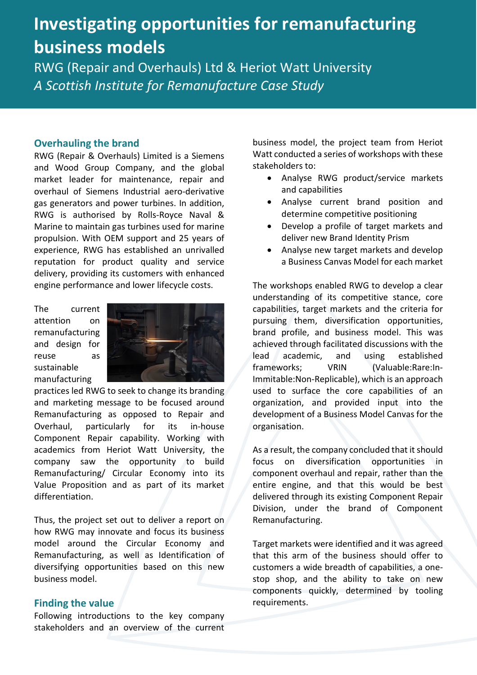# **Investigating opportunities for remanufacturing business models**

RWG (Repair and Overhauls) Ltd & Heriot Watt University *A Scottish Institute for Remanufacture Case Study* 

#### **Overhauling the brand**

RWG (Repair & Overhauls) Limited is a Siemens and Wood Group Company, and the global market leader for maintenance, repair and overhaul of Siemens Industrial aero-derivative gas generators and power turbines. In addition, RWG is authorised by Rolls-Royce Naval & Marine to maintain gas turbines used for marine propulsion. With OEM support and 25 years of experience, RWG has established an unrivalled reputation for product quality and service delivery, providing its customers with enhanced engine performance and lower lifecycle costs.

The current attention on remanufacturing and design for reuse as sustainable manufacturing



practices led RWG to seek to change its branding and marketing message to be focused around Remanufacturing as opposed to Repair and Overhaul, particularly for its in-house Component Repair capability. Working with academics from Heriot Watt University, the company saw the opportunity to build Remanufacturing/ Circular Economy into its Value Proposition and as part of its market differentiation.

Thus, the project set out to deliver a report on how RWG may innovate and focus its business model around the Circular Economy and Remanufacturing, as well as Identification of diversifying opportunities based on this new business model.

### **Finding the value**

Following introductions to the key company stakeholders and an overview of the current business model, the project team from Heriot Watt conducted a series of workshops with these stakeholders to:

- Analyse RWG product/service markets and capabilities
- Analyse current brand position and determine competitive positioning
- Develop a profile of target markets and deliver new Brand Identity Prism
- Analyse new target markets and develop a Business Canvas Model for each market

The workshops enabled RWG to develop a clear understanding of its competitive stance, core capabilities, target markets and the criteria for pursuing them, diversification opportunities, brand profile, and business model. This was achieved through facilitated discussions with the lead academic, and using established frameworks; VRIN (Valuable:Rare:In-Immitable:Non-Replicable), which is an approach used to surface the core capabilities of an organization, and provided input into the development of a Business Model Canvas for the organisation.

As a result, the company concluded that it should focus on diversification opportunities in component overhaul and repair, rather than the entire engine, and that this would be best delivered through its existing Component Repair Division, under the brand of Component Remanufacturing.

Target markets were identified and it was agreed that this arm of the business should offer to customers a wide breadth of capabilities, a onestop shop, and the ability to take on new components quickly, determined by tooling requirements.